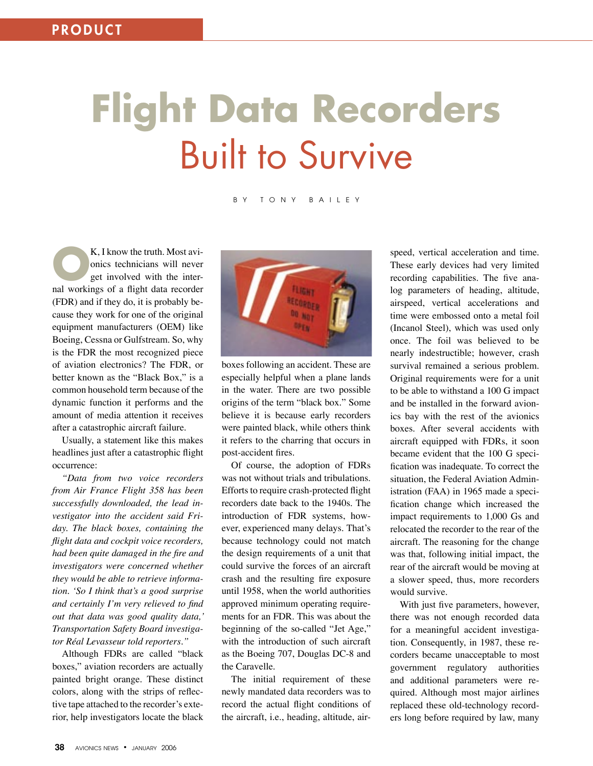# **Flight Data Recorders** Built to Survive

### B Y T O N Y B A I L E Y

**CONCORT K, I know the truth. Most avi-**<br>
get involved with the inter-<br>
get involved with the meandem onics technicians will never nal workings of a flight data recorder (FDR) and if they do, it is probably because they work for one of the original equipment manufacturers (OEM) like Boeing, Cessna or Gulfstream. So, why is the FDR the most recognized piece of aviation electronics? The FDR, or better known as the "Black Box," is a common household term because of the dynamic function it performs and the amount of media attention it receives after a catastrophic aircraft failure.

Usually, a statement like this makes headlines just after a catastrophic flight occurrence:

*"Data from two voice recorders from Air France Flight 358 has been successfully downloaded, the lead investigator into the accident said Friday. The black boxes, containing the flight data and cockpit voice recorders, had been quite damaged in the fire and investigators were concerned whether they would be able to retrieve information. ʻSo I think that's a good surprise and certainly I'm very relieved to find out that data was good quality data,' Transportation Safety Board investigator Réal Levasseur told reporters."* 

Although FDRs are called "black boxes," aviation recorders are actually painted bright orange. These distinct colors, along with the strips of reflective tape attached to the recorder's exterior, help investigators locate the black



boxes following an accident. These are especially helpful when a plane lands in the water. There are two possible origins of the term "black box." Some believe it is because early recorders were painted black, while others think it refers to the charring that occurs in post-accident fires.

Of course, the adoption of FDRs was not without trials and tribulations. Efforts to require crash-protected flight recorders date back to the 1940s. The introduction of FDR systems, however, experienced many delays. That's because technology could not match the design requirements of a unit that could survive the forces of an aircraft crash and the resulting fire exposure until 1958, when the world authorities approved minimum operating requirements for an FDR. This was about the beginning of the so-called "Jet Age," with the introduction of such aircraft as the Boeing 707, Douglas DC-8 and the Caravelle.

The initial requirement of these newly mandated data recorders was to record the actual flight conditions of the aircraft, i.e., heading, altitude, airspeed, vertical acceleration and time. These early devices had very limited recording capabilities. The five analog parameters of heading, altitude, airspeed, vertical accelerations and time were embossed onto a metal foil (Incanol Steel), which was used only once. The foil was believed to be nearly indestructible; however, crash survival remained a serious problem. Original requirements were for a unit to be able to withstand a 100 G impact and be installed in the forward avionics bay with the rest of the avionics boxes. After several accidents with aircraft equipped with FDRs, it soon became evident that the 100 G specification was inadequate. To correct the situation, the Federal Aviation Administration (FAA) in 1965 made a specification change which increased the impact requirements to 1,000 Gs and relocated the recorder to the rear of the aircraft. The reasoning for the change was that, following initial impact, the rear of the aircraft would be moving at a slower speed, thus, more recorders would survive.

With just five parameters, however, there was not enough recorded data for a meaningful accident investigation. Consequently, in 1987, these recorders became unacceptable to most government regulatory authorities and additional parameters were required. Although most major airlines replaced these old-technology recorders long before required by law, many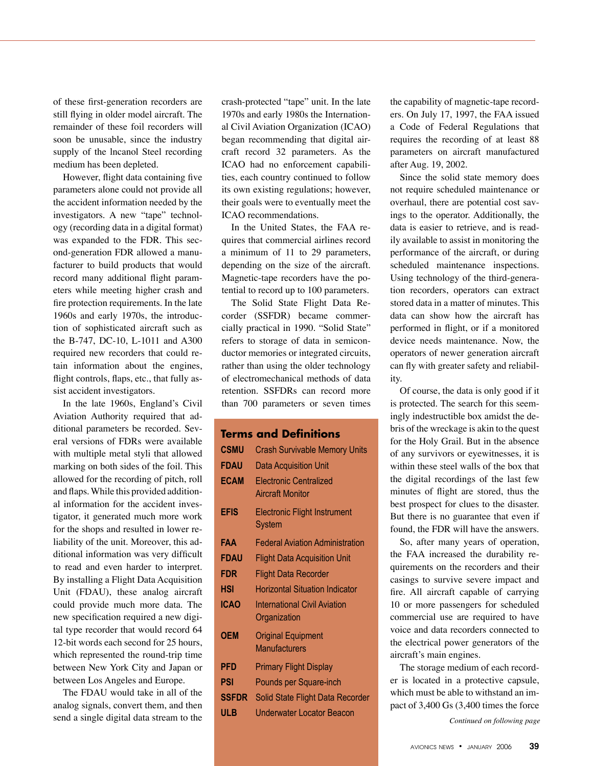of these first-generation recorders are still flying in older model aircraft. The remainder of these foil recorders will soon be unusable, since the industry supply of the lncanol Steel recording medium has been depleted.

However, flight data containing five parameters alone could not provide all the accident information needed by the investigators. A new "tape" technology (recording data in a digital format) was expanded to the FDR. This second-generation FDR allowed a manufacturer to build products that would record many additional flight parameters while meeting higher crash and fire protection requirements. In the late 1960s and early 1970s, the introduction of sophisticated aircraft such as the B-747, DC-10, L-1011 and A300 required new recorders that could retain information about the engines, flight controls, flaps, etc., that fully assist accident investigators.

In the late 1960s, England's Civil Aviation Authority required that additional parameters be recorded. Several versions of FDRs were available with multiple metal styli that allowed marking on both sides of the foil. This allowed for the recording of pitch, roll and flaps. While this provided additional information for the accident investigator, it generated much more work for the shops and resulted in lower reliability of the unit. Moreover, this additional information was very difficult to read and even harder to interpret. By installing a Flight Data Acquisition Unit (FDAU), these analog aircraft could provide much more data. The new specification required a new digital type recorder that would record 64 12-bit words each second for 25 hours, which represented the round-trip time between New York City and Japan or between Los Angeles and Europe.

The FDAU would take in all of the analog signals, convert them, and then send a single digital data stream to the crash-protected "tape" unit. In the late 1970s and early 1980s the International Civil Aviation Organization (ICAO) began recommending that digital aircraft record 32 parameters. As the ICAO had no enforcement capabilities, each country continued to follow its own existing regulations; however, their goals were to eventually meet the ICAO recommendations.

In the United States, the FAA requires that commercial airlines record a minimum of 11 to 29 parameters, depending on the size of the aircraft. Magnetic-tape recorders have the potential to record up to 100 parameters.

The Solid State Flight Data Recorder (SSFDR) became commercially practical in 1990. "Solid State" refers to storage of data in semiconductor memories or integrated circuits, rather than using the older technology of electromechanical methods of data retention. SSFDRs can record more than 700 parameters or seven times

# **Terms and Definitions**

| CSMU<br>FDAU<br><b>FCAM</b> | <b>Crash Survivable Memory Units</b><br><b>Data Acquisition Unit</b><br><b>Electronic Centralized</b><br><b>Aircraft Monitor</b> |
|-----------------------------|----------------------------------------------------------------------------------------------------------------------------------|
| <b>EFIS</b>                 | <b>Electronic Flight Instrument</b><br>System                                                                                    |
| FAA                         | <b>Federal Aviation Administration</b>                                                                                           |
| <b>FDAU</b>                 | <b>Flight Data Acquisition Unit</b>                                                                                              |
| FDR                         | <b>Flight Data Recorder</b>                                                                                                      |
| hsi                         | <b>Horizontal Situation Indicator</b>                                                                                            |
| ICAO                        | <b>International Civil Aviation</b><br>Organization                                                                              |
| <b>OEM</b>                  | <b>Original Equipment</b><br>Manufacturers                                                                                       |
| <b>PFD</b>                  | <b>Primary Flight Display</b>                                                                                                    |
| PSI                         | Pounds per Square-inch                                                                                                           |
| <b>SSFDR</b>                | Solid State Flight Data Recorder                                                                                                 |
| ULB                         | Underwater Locator Beacon                                                                                                        |

the capability of magnetic-tape recorders. On July 17, 1997, the FAA issued a Code of Federal Regulations that requires the recording of at least 88 parameters on aircraft manufactured after Aug. 19, 2002.

Since the solid state memory does not require scheduled maintenance or overhaul, there are potential cost savings to the operator. Additionally, the data is easier to retrieve, and is readily available to assist in monitoring the performance of the aircraft, or during scheduled maintenance inspections. Using technology of the third-generation recorders, operators can extract stored data in a matter of minutes. This data can show how the aircraft has performed in flight, or if a monitored device needs maintenance. Now, the operators of newer generation aircraft can fly with greater safety and reliability.

Of course, the data is only good if it is protected. The search for this seemingly indestructible box amidst the debris of the wreckage is akin to the quest for the Holy Grail. But in the absence of any survivors or eyewitnesses, it is within these steel walls of the box that the digital recordings of the last few minutes of flight are stored, thus the best prospect for clues to the disaster. But there is no guarantee that even if found, the FDR will have the answers.

So, after many years of operation, the FAA increased the durability requirements on the recorders and their casings to survive severe impact and fire. All aircraft capable of carrying 10 or more passengers for scheduled commercial use are required to have voice and data recorders connected to the electrical power generators of the aircraft's main engines.

The storage medium of each recorder is located in a protective capsule, which must be able to withstand an impact of 3,400 Gs (3,400 times the force

 *Continued on following page*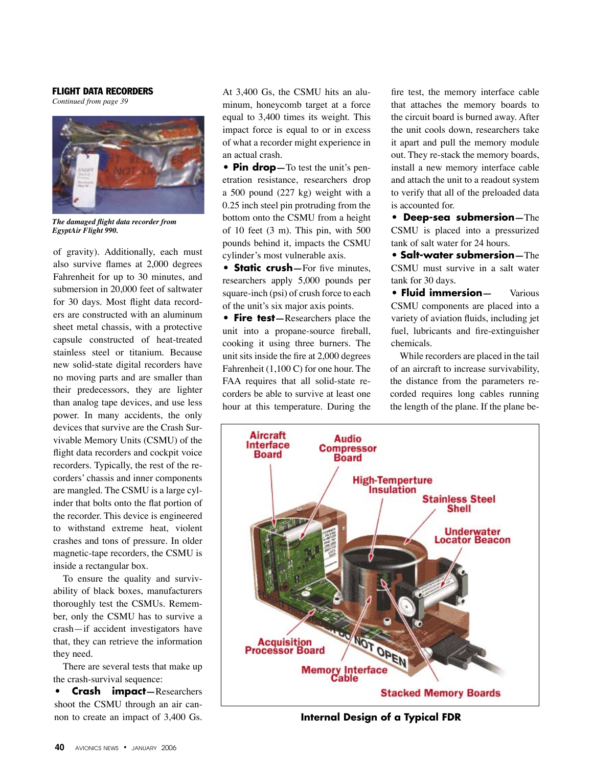## FLIGHT DATA RECORDERS

*Continued from page 39*



*The damaged flight data recorder from EgyptAir Flight 990.*

of gravity). Additionally, each must also survive flames at 2,000 degrees Fahrenheit for up to 30 minutes, and submersion in 20,000 feet of saltwater for 30 days. Most flight data recorders are constructed with an aluminum sheet metal chassis, with a protective capsule constructed of heat-treated stainless steel or titanium. Because new solid-state digital recorders have no moving parts and are smaller than their predecessors, they are lighter than analog tape devices, and use less power. In many accidents, the only devices that survive are the Crash Survivable Memory Units (CSMU) of the flight data recorders and cockpit voice recorders. Typically, the rest of the recorders' chassis and inner components are mangled. The CSMU is a large cylinder that bolts onto the flat portion of the recorder. This device is engineered to withstand extreme heat, violent crashes and tons of pressure. In older magnetic-tape recorders, the CSMU is inside a rectangular box.

To ensure the quality and survivability of black boxes, manufacturers thoroughly test the CSMUs. Remember, only the CSMU has to survive a crash—if accident investigators have that, they can retrieve the information they need.

There are several tests that make up the crash-survival sequence:

**• Crash impact—**Researchers shoot the CSMU through an air cannon to create an impact of 3,400 Gs.

At 3,400 Gs, the CSMU hits an aluminum, honeycomb target at a force equal to 3,400 times its weight. This impact force is equal to or in excess of what a recorder might experience in an actual crash.

**• Pin drop—**To test the unit's penetration resistance, researchers drop a 500 pound (227 kg) weight with a 0.25 inch steel pin protruding from the bottom onto the CSMU from a height of 10 feet (3 m). This pin, with 500 pounds behind it, impacts the CSMU cylinder's most vulnerable axis.

**• Static crush**—For five minutes, researchers apply 5,000 pounds per square-inch (psi) of crush force to each of the unit's six major axis points.

**• Fire test—**Researchers place the unit into a propane-source fireball, cooking it using three burners. The unit sits inside the fire at 2,000 degrees Fahrenheit (1,100 C) for one hour. The FAA requires that all solid-state recorders be able to survive at least one hour at this temperature. During the fire test, the memory interface cable that attaches the memory boards to the circuit board is burned away. After the unit cools down, researchers take it apart and pull the memory module out. They re-stack the memory boards, install a new memory interface cable and attach the unit to a readout system to verify that all of the preloaded data is accounted for.

**• Deep-sea submersion—**The CSMU is placed into a pressurized tank of salt water for 24 hours.

**• Salt-water submersion—**The CSMU must survive in a salt water tank for 30 days.

**• Fluid immersion—** Various CSMU components are placed into a variety of aviation fluids, including jet fuel, lubricants and fire-extinguisher chemicals.

While recorders are placed in the tail of an aircraft to increase survivability, the distance from the parameters recorded requires long cables running the length of the plane. If the plane be-



**Internal Design of a Typical FDR**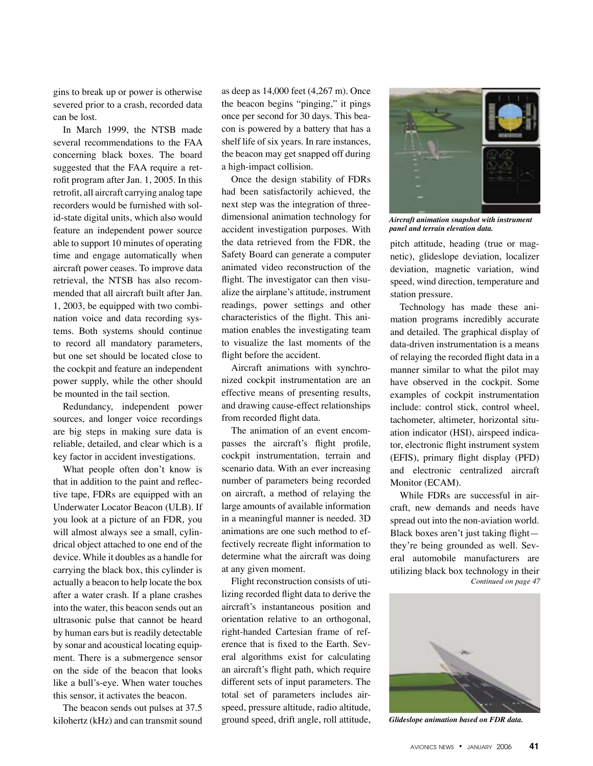gins to break up or power is otherwise severed prior to a crash, recorded data can be lost.

In March 1999, the NTSB made several recommendations to the FAA concerning black boxes. The board suggested that the FAA require a retrofit program after Jan. 1, 2005. In this retrofit, all aircraft carrying analog tape recorders would be furnished with solid-state digital units, which also would feature an independent power source able to support 10 minutes of operating time and engage automatically when aircraft power ceases. To improve data retrieval, the NTSB has also recommended that all aircraft built after Jan. 1, 2003, be equipped with two combination voice and data recording systems. Both systems should continue to record all mandatory parameters, but one set should be located close to the cockpit and feature an independent power supply, while the other should be mounted in the tail section.

Redundancy, independent power sources, and longer voice recordings are big steps in making sure data is reliable, detailed, and clear which is a key factor in accident investigations.

What people often don't know is that in addition to the paint and reflective tape, FDRs are equipped with an Underwater Locator Beacon (ULB). If you look at a picture of an FDR, you will almost always see a small, cylindrical object attached to one end of the device. While it doubles as a handle for carrying the black box, this cylinder is actually a beacon to help locate the box after a water crash. If a plane crashes into the water, this beacon sends out an ultrasonic pulse that cannot be heard by human ears but is readily detectable by sonar and acoustical locating equipment. There is a submergence sensor on the side of the beacon that looks like a bull's-eye. When water touches this sensor, it activates the beacon.

The beacon sends out pulses at 37.5 kilohertz (kHz) and can transmit sound as deep as 14,000 feet (4,267 m). Once the beacon begins "pinging," it pings once per second for 30 days. This beacon is powered by a battery that has a shelf life of six years. In rare instances, the beacon may get snapped off during a high-impact collision.

Once the design stability of FDRs had been satisfactorily achieved, the next step was the integration of threedimensional animation technology for accident investigation purposes. With the data retrieved from the FDR, the Safety Board can generate a computer animated video reconstruction of the flight. The investigator can then visualize the airplane's attitude, instrument readings, power settings and other characteristics of the flight. This animation enables the investigating team to visualize the last moments of the flight before the accident.

Aircraft animations with synchronized cockpit instrumentation are an effective means of presenting results, and drawing cause-effect relationships from recorded flight data.

The animation of an event encompasses the aircraft's flight profile, cockpit instrumentation, terrain and scenario data. With an ever increasing number of parameters being recorded on aircraft, a method of relaying the large amounts of available information in a meaningful manner is needed. 3D animations are one such method to effectively recreate flight information to determine what the aircraft was doing at any given moment.

Flight reconstruction consists of utilizing recorded flight data to derive the aircraft's instantaneous position and orientation relative to an orthogonal, right-handed Cartesian frame of reference that is fixed to the Earth. Several algorithms exist for calculating an aircraft's flight path, which require different sets of input parameters. The total set of parameters includes airspeed, pressure altitude, radio altitude, ground speed, drift angle, roll attitude,



*Aircraft animation snapshot with instrument panel and terrain elevation data.*

pitch attitude, heading (true or magnetic), glideslope deviation, localizer deviation, magnetic variation, wind speed, wind direction, temperature and station pressure.

Technology has made these animation programs incredibly accurate and detailed. The graphical display of data-driven instrumentation is a means of relaying the recorded flight data in a manner similar to what the pilot may have observed in the cockpit. Some examples of cockpit instrumentation include: control stick, control wheel, tachometer, altimeter, horizontal situation indicator (HSI), airspeed indicator, electronic flight instrument system (EFIS), primary flight display (PFD) and electronic centralized aircraft Monitor (ECAM).

While FDRs are successful in aircraft, new demands and needs have spread out into the non-aviation world. Black boxes aren't just taking flight they're being grounded as well. Several automobile manufacturers are utilizing black box technology in their  *Continued on page 47* 



*Glideslope animation based on FDR data.*